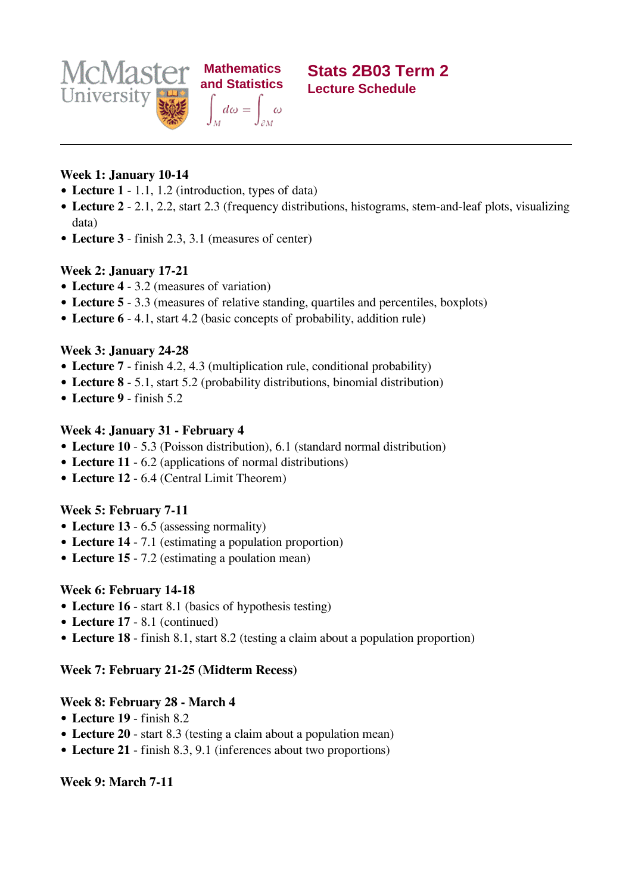

### **Week 1: January 10-14**

- **Lecture 1** 1.1, 1.2 (introduction, types of data)
- **Lecture 2** 2.1, 2.2, start 2.3 (frequency distributions, histograms, stem-and-leaf plots, visualizing data)
- **Lecture 3** finish 2.3, 3.1 (measures of center)

## **Week 2: January 17-21**

- **Lecture 4** 3.2 (measures of variation)
- **Lecture 5** 3.3 (measures of relative standing, quartiles and percentiles, boxplots)
- **Lecture 6** 4.1, start 4.2 (basic concepts of probability, addition rule)

## **Week 3: January 24-28**

- **Lecture 7** finish 4.2, 4.3 (multiplication rule, conditional probability)
- **Lecture 8** 5.1, start 5.2 (probability distributions, binomial distribution)
- **Lecture 9** finish 5.2

## **Week 4: January 31 - February 4**

- **Lecture 10** 5.3 (Poisson distribution), 6.1 (standard normal distribution)
- **Lecture 11** 6.2 (applications of normal distributions)
- **Lecture 12** 6.4 (Central Limit Theorem)

# **Week 5: February 7-11**

- **Lecture 13** 6.5 (assessing normality)
- **Lecture 14** 7.1 (estimating a population proportion)
- **Lecture 15** 7.2 (estimating a poulation mean)

# **Week 6: February 14-18**

- **Lecture 16** start 8.1 (basics of hypothesis testing)
- **Lecture 17** 8.1 (continued)
- **Lecture 18** finish 8.1, start 8.2 (testing a claim about a population proportion)

# **Week 7: February 21-25 (Midterm Recess)**

### **Week 8: February 28 - March 4**

- **Lecture 19** finish 8.2
- **Lecture 20** start 8.3 (testing a claim about a population mean)
- **Lecture 21** finish 8.3, 9.1 (inferences about two proportions)

# **Week 9: March 7-11**